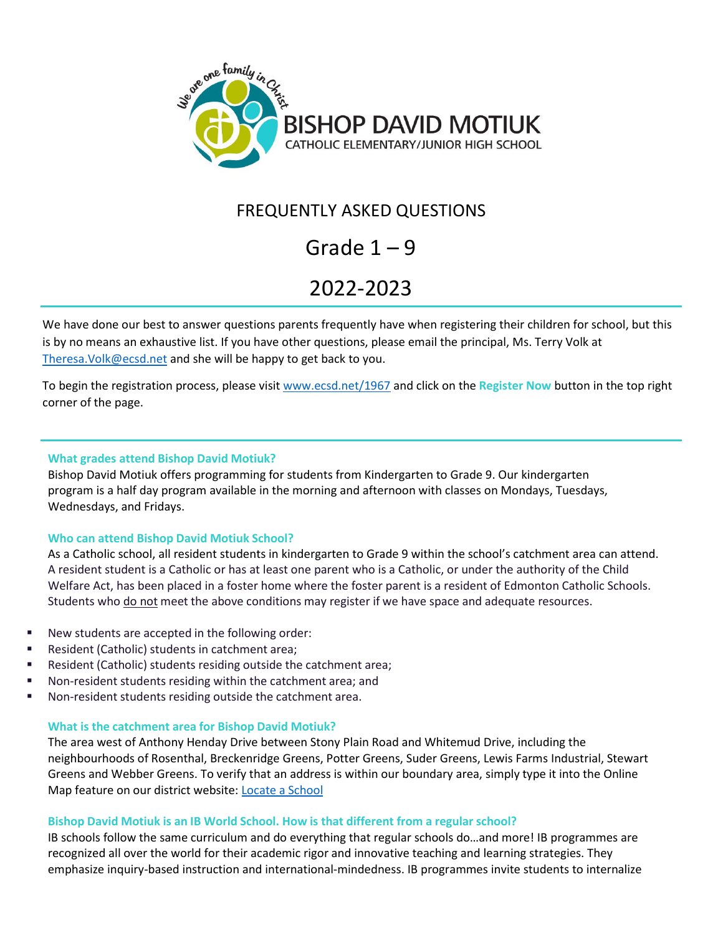

# FREQUENTLY ASKED QUESTIONS

# Grade 1 – 9

# 2022-2023

We have done our best to answer questions parents frequently have when registering their children for school, but this is by no means an exhaustive list. If you have other questions, please email the principal, Ms. Terry Volk at [Theresa.Volk@ecsd.net](mailto:Theresa.Volk@ecsd.net) and she will be happy to get back to you.

To begin the registration process, please visit [www.ecsd.net/1967](http://www.ecsd.net/1967) and click on the **Register Now** button in the top right corner of the page.

# **What grades attend Bishop David Motiuk?**

Bishop David Motiuk offers programming for students from Kindergarten to Grade 9. Our kindergarten program is a half day program available in the morning and afternoon with classes on Mondays, Tuesdays, Wednesdays, and Fridays.

# **Who can attend Bishop David Motiuk School?**

As a Catholic school, all resident students in kindergarten to Grade 9 within the school's catchment area can attend. A resident student is a Catholic or has at least one parent who is a Catholic, or under the authority of the Child Welfare Act, has been placed in a foster home where the foster parent is a resident of Edmonton Catholic Schools. Students who do not meet the above conditions may register if we have space and adequate resources.

- New students are accepted in the following order:
- Resident (Catholic) students in catchment area;
- Resident (Catholic) students residing outside the catchment area;
- Non-resident students residing within the catchment area; and
- Non-resident students residing outside the catchment area.

# **What is the catchment area for Bishop David Motiuk?**

The area west of Anthony Henday Drive between Stony Plain Road and Whitemud Drive, including the neighbourhoods of Rosenthal, Breckenridge Greens, Potter Greens, Suder Greens, Lewis Farms Industrial, Stewart Greens and Webber Greens. To verify that an address is within our boundary area, simply type it into the Online Map feature on our district website: Locate [a School](https://schoolmap.ecsd.net/NextYear.html)

# **Bishop David Motiuk is an IB World School. How is that different from a regular school?**

IB schools follow the same curriculum and do everything that regular schools do…and more! IB programmes are recognized all over the world for their academic rigor and innovative teaching and learning strategies. They emphasize inquiry-based instruction and international-mindedness. IB programmes invite students to internalize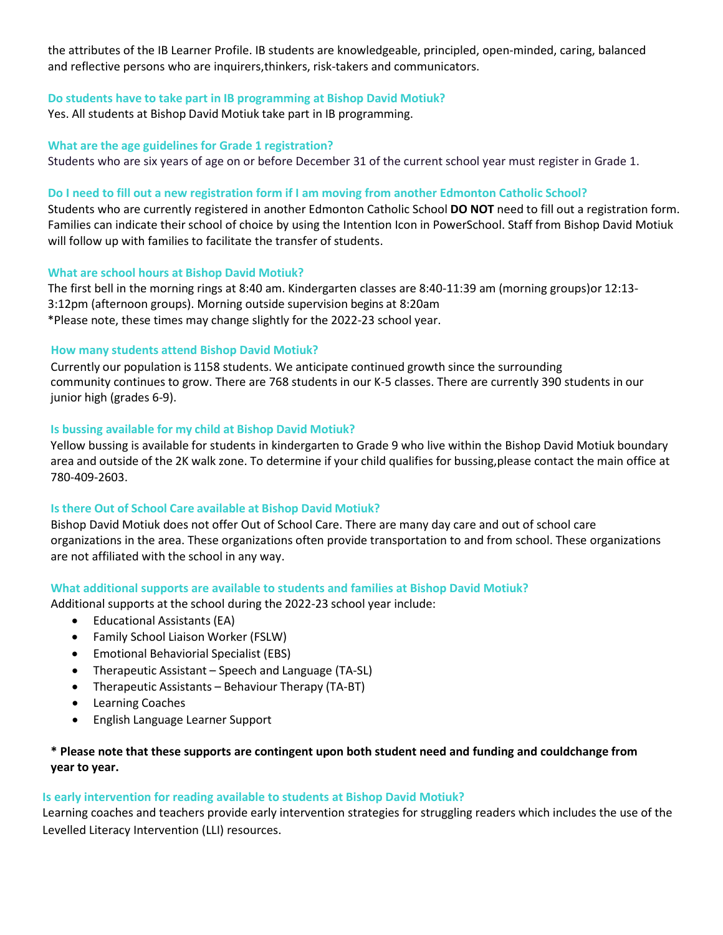the attributes of the IB Learner Profile. IB students are knowledgeable, principled, open-minded, caring, balanced and reflective persons who are inquirers,thinkers, risk-takers and communicators.

#### **Do students have to take part in IB programming at Bishop David Motiuk?**

Yes. All students at Bishop David Motiuk take part in IB programming.

#### **What are the age guidelines for Grade 1 registration?**

Students who are six years of age on or before December 31 of the current school year must register in Grade 1.

#### **Do I need to fill out a new registration form if I am moving from another Edmonton Catholic School?**

Students who are currently registered in another Edmonton Catholic School **DO NOT** need to fill out a registration form. Families can indicate their school of choice by using the Intention Icon in PowerSchool. Staff from Bishop David Motiuk will follow up with families to facilitate the transfer of students.

#### **What are school hours at Bishop David Motiuk?**

The first bell in the morning rings at 8:40 am. Kindergarten classes are 8:40-11:39 am (morning groups)or 12:13- 3:12pm (afternoon groups). Morning outside supervision begins at 8:20am \*Please note, these times may change slightly for the 2022-23 school year.

#### **How many students attend Bishop David Motiuk?**

Currently our population is 1158 students. We anticipate continued growth since the surrounding community continues to grow. There are 768 students in our K-5 classes. There are currently 390 students in our junior high (grades 6-9).

#### **Is bussing available for my child at Bishop David Motiuk?**

Yellow bussing is available for students in kindergarten to Grade 9 who live within the Bishop David Motiuk boundary area and outside of the 2K walk zone. To determine if your child qualifies for bussing,please contact the main office at 780-409-2603.

# **Is there Out of School Care available at Bishop David Motiuk?**

Bishop David Motiuk does not offer Out of School Care. There are many day care and out of school care organizations in the area. These organizations often provide transportation to and from school. These organizations are not affiliated with the school in any way.

#### **What additional supports are available to students and families at Bishop David Motiuk?**

Additional supports at the school during the 2022-23 school year include:

- Educational Assistants (EA)
- Family School Liaison Worker (FSLW)
- Emotional Behaviorial Specialist (EBS)
- Therapeutic Assistant Speech and Language (TA-SL)
- Therapeutic Assistants Behaviour Therapy (TA-BT)
- Learning Coaches
- English Language Learner Support

# **\* Please note that these supports are contingent upon both student need and funding and couldchange from year to year.**

# **Is early intervention for reading available to students at Bishop David Motiuk?**

Learning coaches and teachers provide early intervention strategies for struggling readers which includes the use of the Levelled Literacy Intervention (LLI) resources.